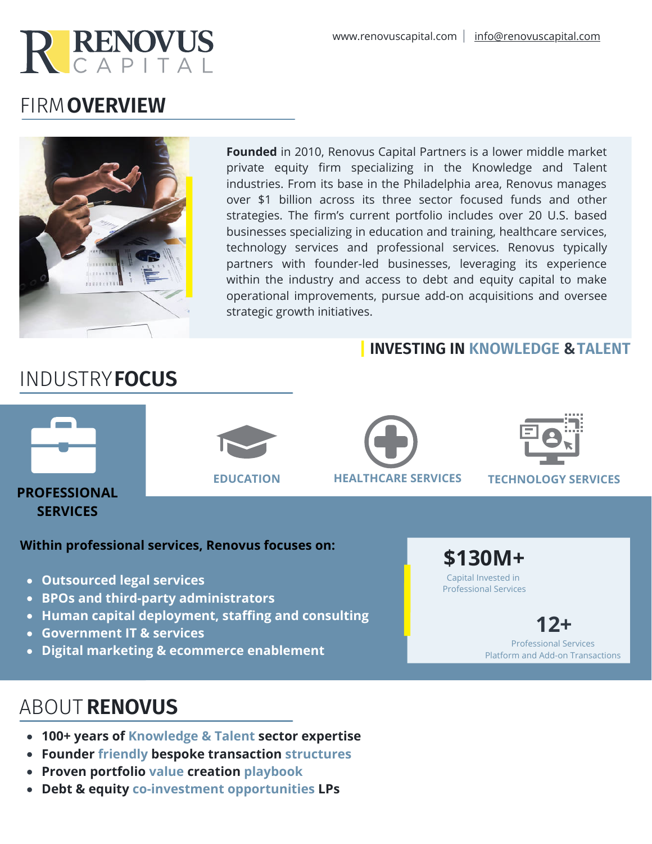

# FIRM **OVERVIEW**



**Founded** in 2010, Renovus Capital Partners is a lower middle market private equity firm specializing in the Knowledge and Talent industries. From its base in the Philadelphia area, Renovus manages over \$1 billion across its three sector focused funds and other strategies. The firm's current portfolio includes over 20 U.S. based businesses specializing in education and training, healthcare services, technology services and professional services. Renovus typically partners with founder-led businesses, leveraging its experience within the industry and access to debt and equity capital to make operational improvements, pursue add-on acquisitions and oversee strategic growth initiatives.

### **INVESTING IN KNOWLEDGE & TALENT**



INDUSTRY**FOCUS**

**PROFESSIONAL SERVICES**

**EDUCATION HEALTHCARE SERVICES TECHNOLOGY SERVICES**

#### **Within professional services, Renovus focuses on:**

- **Outsourced legal services**
- **BPOs and third-party administrators**
- **Human capital deployment, staffing and consulting**
- **Government IT & services**
- **Digital marketing & ecommerce enablement**



**12+** Professional Services Platform and Add-on Transactions

# ABOUT **RENOVUS**

- **100+ years of Knowledge & Talent sector expertise**
- **Founder friendly bespoke transaction structures**
- **Proven portfolio value creation playbook**
- **Debt & equity co-investment opportunities LPs**